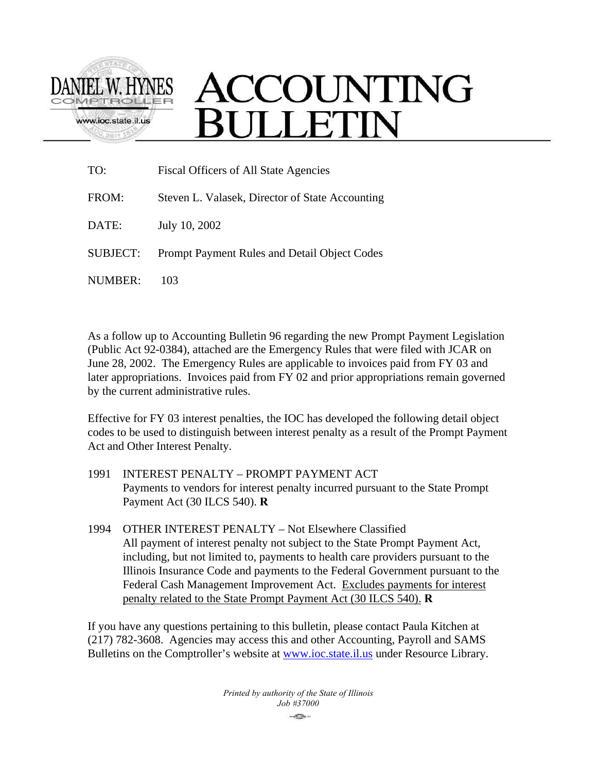

# ACCOUNTING **BULLETIN**

| TO:             | <b>Fiscal Officers of All State Agencies</b>    |  |
|-----------------|-------------------------------------------------|--|
| FROM:           | Steven L. Valasek, Director of State Accounting |  |
| DATE:           | July 10, 2002                                   |  |
| <b>SUBJECT:</b> | Prompt Payment Rules and Detail Object Codes    |  |
| NUMBER:         | 103                                             |  |

As a follow up to Accounting Bulletin 96 regarding the new Prompt Payment Legislation (Public Act 92-0384), attached are the Emergency Rules that were filed with JCAR on June 28, 2002. The Emergency Rules are applicable to invoices paid from FY 03 and later appropriations. Invoices paid from FY 02 and prior appropriations remain governed by the current administrative rules.

Effective for FY 03 interest penalties, the IOC has developed the following detail object codes to be used to distinguish between interest penalty as a result of the Prompt Payment Act and Other Interest Penalty.

- 1991 INTEREST PENALTY PROMPT PAYMENT ACT Payments to vendors for interest penalty incurred pursuant to the State Prompt Payment Act (30 ILCS 540). **R**
- 1994 OTHER INTEREST PENALTY Not Elsewhere Classified All payment of interest penalty not subject to the State Prompt Payment Act, including, but not limited to, payments to health care providers pursuant to the Illinois Insurance Code and payments to the Federal Government pursuant to the Federal Cash Management Improvement Act. Excludes payments for interest penalty related to the State Prompt Payment Act (30 ILCS 540). **R**

If you have any questions pertaining to this bulletin, please contact Paula Kitchen at (217) 782-3608. Agencies may access this and other Accounting, Payroll and SAMS Bulletins on the Comptroller's website at **www.ioc.state.il.us** under Resource Library.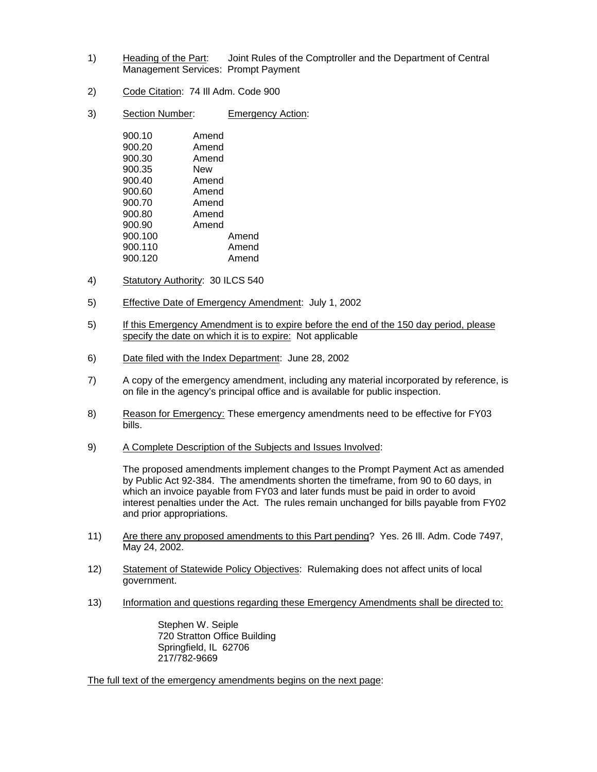- 1) Heading of the Part: Joint Rules of the Comptroller and the Department of Central Management Services: Prompt Payment
- 2) Code Citation: 74 Ill Adm. Code 900
- 3) Section Number: Emergency Action:

| 900.10  | Amend |       |
|---------|-------|-------|
| 900.20  | Amend |       |
| 900.30  | Amend |       |
| 900.35  | New   |       |
| 900.40  | Amend |       |
| 900.60  | Amend |       |
| 900.70  | Amend |       |
| 900.80  | Amend |       |
| 900.90  | Amend |       |
| 900.100 |       | Amend |
| 900.110 |       | Amend |
| 900.120 |       | Amend |
|         |       |       |

- 4) Statutory Authority: 30 ILCS 540
- 5) Effective Date of Emergency Amendment: July 1, 2002
- 5) If this Emergency Amendment is to expire before the end of the 150 day period, please specify the date on which it is to expire: Not applicable
- 6) Date filed with the Index Department: June 28, 2002
- 7) A copy of the emergency amendment, including any material incorporated by reference, is on file in the agency's principal office and is available for public inspection.
- 8) Reason for Emergency: These emergency amendments need to be effective for FY03 bills.
- 9) A Complete Description of the Subjects and Issues Involved:

The proposed amendments implement changes to the Prompt Payment Act as amended by Public Act 92-384. The amendments shorten the timeframe, from 90 to 60 days, in which an invoice payable from FY03 and later funds must be paid in order to avoid interest penalties under the Act. The rules remain unchanged for bills payable from FY02 and prior appropriations.

- 11) Are there any proposed amendments to this Part pending? Yes. 26 III. Adm. Code 7497, May 24, 2002.
- 12) Statement of Statewide Policy Objectives: Rulemaking does not affect units of local government.
- 13) Information and questions regarding these Emergency Amendments shall be directed to:

Stephen W. Seiple 720 Stratton Office Building Springfield, IL 62706 217/782-9669

The full text of the emergency amendments begins on the next page: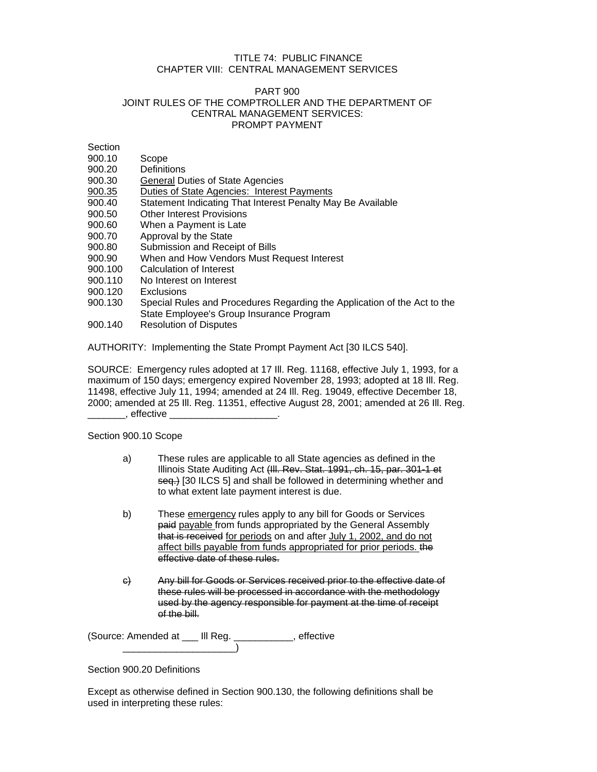## TITLE 74: PUBLIC FINANCE CHAPTER VIII: CENTRAL MANAGEMENT SERVICES

#### PART 900 JOINT RULES OF THE COMPTROLLER AND THE DEPARTMENT OF CENTRAL MANAGEMENT SERVICES: PROMPT PAYMENT

**Section** 

- 900.10 Scope
- 900.20 Definitions
- 900.30 General Duties of State Agencies
- 900.35 Duties of State Agencies: Interest Payments
- 900.40 Statement Indicating That Interest Penalty May Be Available
- 900.50 Other Interest Provisions
- 900.60 When a Payment is Late
- 900.70 Approval by the State
- 900.80 Submission and Receipt of Bills
- 900.90 When and How Vendors Must Request Interest
- 900.100 Calculation of Interest
- 900.110 No Interest on Interest
- 900.120 Exclusions
- 900.130 Special Rules and Procedures Regarding the Application of the Act to the State Employee's Group Insurance Program
- 900.140 Resolution of Disputes

AUTHORITY: Implementing the State Prompt Payment Act [30 ILCS 540].

SOURCE: Emergency rules adopted at 17 Ill. Reg. 11168, effective July 1, 1993, for a maximum of 150 days; emergency expired November 28, 1993; adopted at 18 Ill. Reg. 11498, effective July 11, 1994; amended at 24 Ill. Reg. 19049, effective December 18, 2000; amended at 25 Ill. Reg. 11351, effective August 28, 2001; amended at 26 Ill. Reg.  $\_\_$ , effective  $\_$ 

Section 900.10 Scope

- a) These rules are applicable to all State agencies as defined in the Illinois State Auditing Act (Ill. Rev. Stat. 1991, ch. 15, par. 301-1 et seq.) [30 ILCS 5] and shall be followed in determining whether and to what extent late payment interest is due.
- b) These emergency rules apply to any bill for Goods or Services paid payable from funds appropriated by the General Assembly that is received for periods on and after July 1, 2002, and do not affect bills payable from funds appropriated for prior periods. the effective date of these rules.
- c) Any bill for Goods or Services received prior to the effective date of these rules will be processed in accordance with the methodology used by the agency responsible for payment at the time of receipt of the bill.

(Source: Amended at \_\_\_ Ill Reg. \_\_\_\_\_\_\_\_\_\_\_, effective \_\_\_\_\_\_\_\_\_\_\_\_\_\_\_\_\_\_\_\_\_)

## Section 900.20 Definitions

Except as otherwise defined in Section 900.130, the following definitions shall be used in interpreting these rules: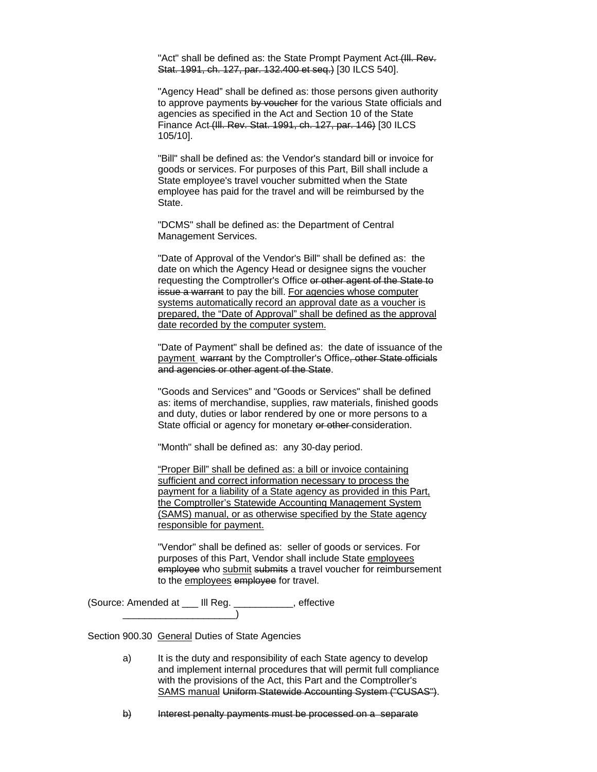"Act" shall be defined as: the State Prompt Payment Act (III. Rev. Stat. 1991, ch. 127, par. 132.400 et seq.) [30 ILCS 540].

"Agency Head" shall be defined as: those persons given authority to approve payments by voucher for the various State officials and agencies as specified in the Act and Section 10 of the State Finance Act (Ill. Rev. Stat. 1991, ch. 127, par. 146) [30 ILCS 105/10].

"Bill" shall be defined as: the Vendor's standard bill or invoice for goods or services. For purposes of this Part, Bill shall include a State employee's travel voucher submitted when the State employee has paid for the travel and will be reimbursed by the State.

"DCMS" shall be defined as: the Department of Central Management Services.

"Date of Approval of the Vendor's Bill" shall be defined as: the date on which the Agency Head or designee signs the voucher requesting the Comptroller's Office or other agent of the State to issue a warrant to pay the bill. For agencies whose computer systems automatically record an approval date as a voucher is prepared, the "Date of Approval" shall be defined as the approval date recorded by the computer system.

"Date of Payment" shall be defined as: the date of issuance of the payment warrant by the Comptroller's Office, other State officials and agencies or other agent of the State.

"Goods and Services" and "Goods or Services" shall be defined as: items of merchandise, supplies, raw materials, finished goods and duty, duties or labor rendered by one or more persons to a State official or agency for monetary or other-consideration.

"Month" shall be defined as: any 30-day period.

"Proper Bill" shall be defined as: a bill or invoice containing sufficient and correct information necessary to process the payment for a liability of a State agency as provided in this Part, the Comptroller's Statewide Accounting Management System (SAMS) manual, or as otherwise specified by the State agency responsible for payment.

"Vendor" shall be defined as: seller of goods or services. For purposes of this Part, Vendor shall include State employees employee who submit submits a travel voucher for reimbursement to the employees employee for travel.

(Source: Amended at \_\_\_ Ill Reg. \_\_\_\_\_\_\_\_\_\_\_, effective \_\_\_\_\_\_\_\_\_\_\_\_\_\_\_\_\_\_\_\_\_)

Section 900.30 General Duties of State Agencies

- a) It is the duty and responsibility of each State agency to develop and implement internal procedures that will permit full compliance with the provisions of the Act, this Part and the Comptroller's SAMS manual Uniform Statewide Accounting System ("CUSAS").
- b) Interest penalty payments must be processed on a separate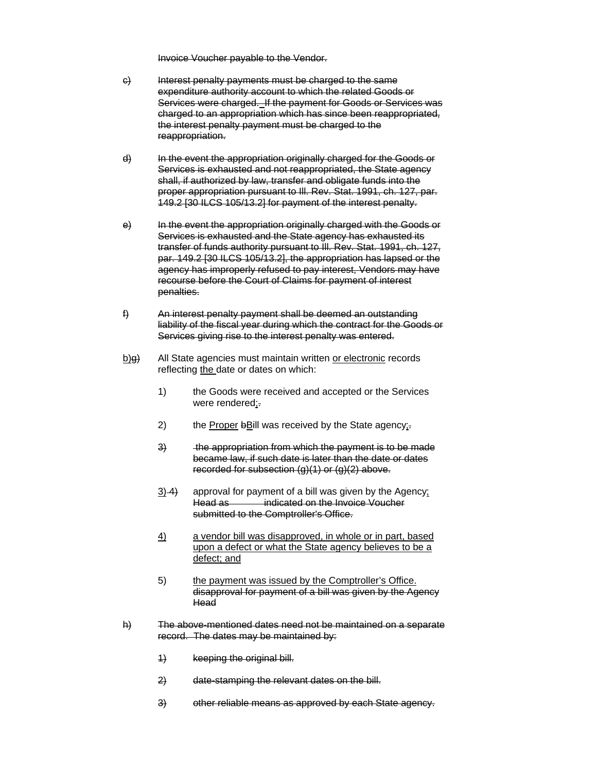Invoice Voucher payable to the Vendor.

- e) Interest penalty payments must be charged to the same expenditure authority account to which the related Goods or Services were charged. If the payment for Goods or Services was charged to an appropriation which has since been reappropriated, the interest penalty payment must be charged to the reappropriation.
- d) In the event the appropriation originally charged for the Goods or Services is exhausted and not reappropriated, the State agency shall, if authorized by law, transfer and obligate funds into the proper appropriation pursuant to Ill. Rev. Stat. 1991, ch. 127, par. 149.2 [30 ILCS 105/13.2] for payment of the interest penalty.
- e) In the event the appropriation originally charged with the Goods or Services is exhausted and the State agency has exhausted its transfer of funds authority pursuant to Ill. Rev. Stat. 1991, ch. 127, par. 149.2 [30 ILCS 105/13.2], the appropriation has lapsed or the agency has improperly refused to pay interest, Vendors may have recourse before the Court of Claims for payment of interest penalties.
- f) An interest penalty payment shall be deemed an outstanding liability of the fiscal year during which the contract for the Goods or Services giving rise to the interest penalty was entered.
- $\underline{b}$ ) All State agencies must maintain written or electronic records reflecting the date or dates on which:
	- 1) the Goods were received and accepted or the Services were rendered;.
	- 2) the Proper bBill was received by the State agency;
	- 3) the appropriation from which the payment is to be made became law, if such date is later than the date or dates recorded for subsection  $(g)(1)$  or  $(g)(2)$  above.
	- $3)$  4) approval for payment of a bill was given by the Agency; Head as **indicated on the Invoice Voucher** submitted to the Comptroller's Office.
	- 4) a vendor bill was disapproved, in whole or in part, based upon a defect or what the State agency believes to be a defect; and
	- 5) the payment was issued by the Comptroller's Office. disapproval for payment of a bill was given by the Agency Head
- h) The above-mentioned dates need not be maintained on a separate record. The dates may be maintained by:
	- 1) keeping the original bill.
	- 2) date-stamping the relevant dates on the bill.
	- 3) other reliable means as approved by each State agency.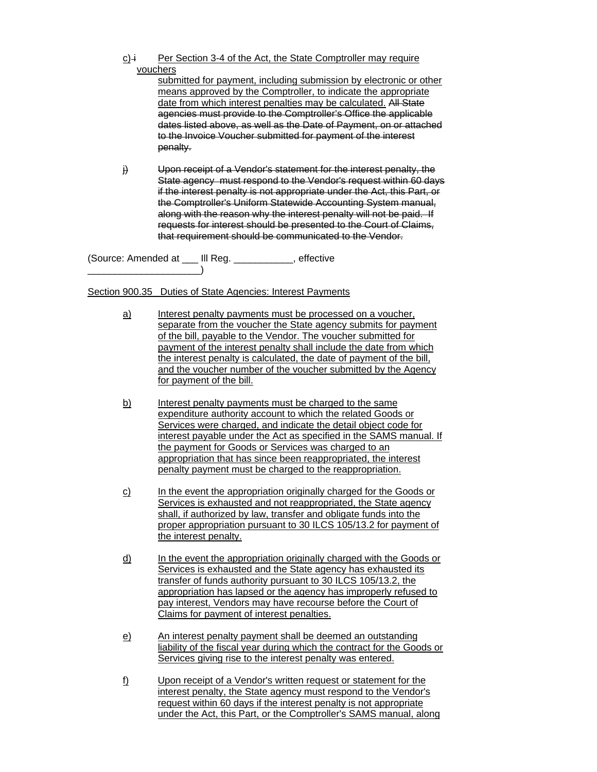$c$ <sup>i</sup> Per Section 3-4 of the Act, the State Comptroller may require vouchers

submitted for payment, including submission by electronic or other means approved by the Comptroller, to indicate the appropriate date from which interest penalties may be calculated. All State agencies must provide to the Comptroller's Office the applicable dates listed above, as well as the Date of Payment, on or attached to the Invoice Voucher submitted for payment of the interest penalty.

 $\ddot{H}$  Upon receipt of a Vendor's statement for the interest penalty, the State agency must respond to the Vendor's request within 60 days if the interest penalty is not appropriate under the Act, this Part, or the Comptroller's Uniform Statewide Accounting System manual, along with the reason why the interest penalty will not be paid. If requests for interest should be presented to the Court of Claims, that requirement should be communicated to the Vendor.

(Source: Amended at \_\_\_ Ill Reg. \_\_\_\_\_\_\_\_\_\_\_, effective \_\_\_\_\_\_\_\_\_\_\_\_\_\_\_\_\_\_\_\_\_)

Section 900.35 Duties of State Agencies: Interest Payments

- a) Interest penalty payments must be processed on a voucher, separate from the voucher the State agency submits for payment of the bill, payable to the Vendor. The voucher submitted for payment of the interest penalty shall include the date from which the interest penalty is calculated, the date of payment of the bill, and the voucher number of the voucher submitted by the Agency for payment of the bill.
- b) Interest penalty payments must be charged to the same expenditure authority account to which the related Goods or Services were charged, and indicate the detail object code for interest payable under the Act as specified in the SAMS manual. If the payment for Goods or Services was charged to an appropriation that has since been reappropriated, the interest penalty payment must be charged to the reappropriation.
- c) In the event the appropriation originally charged for the Goods or Services is exhausted and not reappropriated, the State agency shall, if authorized by law, transfer and obligate funds into the proper appropriation pursuant to 30 ILCS 105/13.2 for payment of the interest penalty.
- d) In the event the appropriation originally charged with the Goods or Services is exhausted and the State agency has exhausted its transfer of funds authority pursuant to 30 ILCS 105/13.2, the appropriation has lapsed or the agency has improperly refused to pay interest, Vendors may have recourse before the Court of Claims for payment of interest penalties.
- e) An interest penalty payment shall be deemed an outstanding liability of the fiscal year during which the contract for the Goods or Services giving rise to the interest penalty was entered.
- f) Upon receipt of a Vendor's written request or statement for the interest penalty, the State agency must respond to the Vendor's request within 60 days if the interest penalty is not appropriate under the Act, this Part, or the Comptroller's SAMS manual, along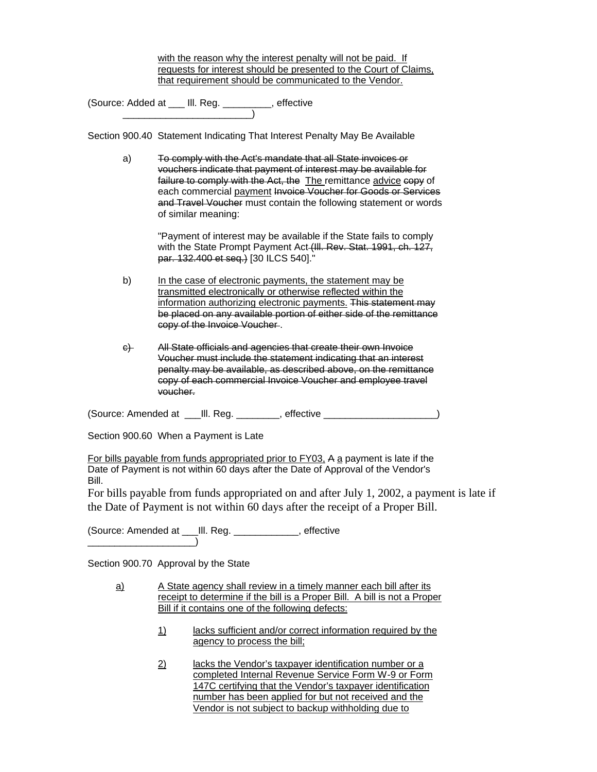with the reason why the interest penalty will not be paid. If requests for interest should be presented to the Court of Claims, that requirement should be communicated to the Vendor.

(Source: Added at \_\_\_ Ill. Reg. \_\_\_\_\_\_\_\_\_, effective \_\_\_\_\_\_\_\_\_\_\_\_\_\_\_\_\_\_\_\_\_\_\_\_)

Section 900.40 Statement Indicating That Interest Penalty May Be Available

a) To comply with the Act's mandate that all State invoices or vouchers indicate that payment of interest may be available for failure to comply with the Act, the The remittance advice copy of each commercial payment Invoice Voucher for Goods or Services and Travel Voucher must contain the following statement or words of similar meaning:

> "Payment of interest may be available if the State fails to comply with the State Prompt Payment Act (III. Rev. Stat. 1991, ch. 127, par. 132.400 et seq.) [30 ILCS 540]."

- b) In the case of electronic payments, the statement may be transmitted electronically or otherwise reflected within the information authorizing electronic payments. This statement may be placed on any available portion of either side of the remittance copy of the Invoice Voucher .
- c) All State officials and agencies that create their own Invoice Voucher must include the statement indicating that an interest penalty may be available, as described above, on the remittance copy of each commercial Invoice Voucher and employee travel voucher.

(Source: Amended at \_\_\_Ill. Reg. \_\_\_\_\_\_\_\_, effective \_\_\_\_\_\_\_\_\_\_\_\_\_\_\_\_\_\_\_\_\_)

Section 900.60 When a Payment is Late

For bills payable from funds appropriated prior to FY03, A a payment is late if the Date of Payment is not within 60 days after the Date of Approval of the Vendor's Bill.

For bills payable from funds appropriated on and after July 1, 2002, a payment is late if the Date of Payment is not within 60 days after the receipt of a Proper Bill.

(Source: Amended at \_\_\_Ill. Reg. \_\_\_\_\_\_\_\_\_\_\_\_, effective \_\_\_\_\_\_\_\_\_\_\_\_\_\_\_\_\_\_\_\_)

Section 900.70 Approval by the State

- a) A State agency shall review in a timely manner each bill after its receipt to determine if the bill is a Proper Bill. A bill is not a Proper Bill if it contains one of the following defects:
	- 1) lacks sufficient and/or correct information required by the agency to process the bill;
	- 2) lacks the Vendor's taxpayer identification number or a completed Internal Revenue Service Form W-9 or Form 147C certifying that the Vendor's taxpayer identification number has been applied for but not received and the Vendor is not subject to backup withholding due to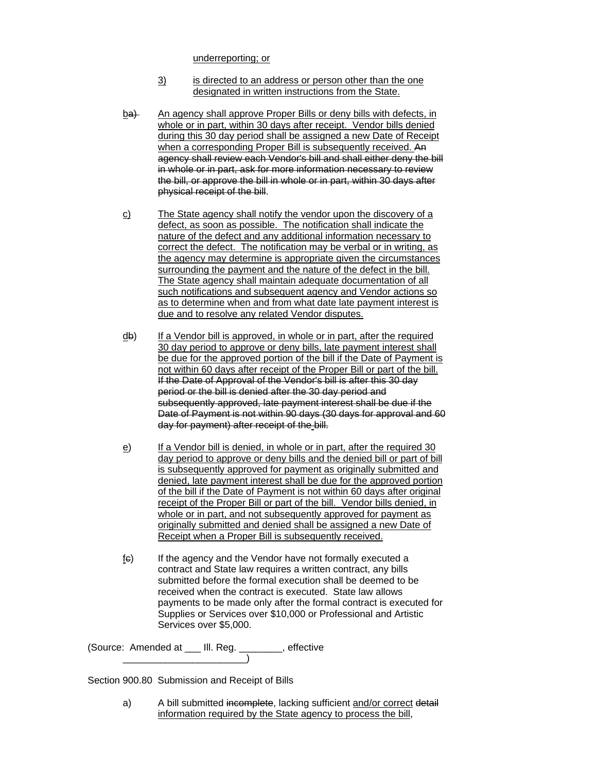underreporting; or

- 3) is directed to an address or person other than the one designated in written instructions from the State.
- ba) An agency shall approve Proper Bills or deny bills with defects, in whole or in part, within 30 days after receipt. Vendor bills denied during this 30 day period shall be assigned a new Date of Receipt when a corresponding Proper Bill is subsequently received. An agency shall review each Vendor's bill and shall either deny the bill in whole or in part, ask for more information necessary to review the bill, or approve the bill in whole or in part, within 30 days after physical receipt of the bill.
- c) The State agency shall notify the vendor upon the discovery of a defect, as soon as possible. The notification shall indicate the nature of the defect and any additional information necessary to correct the defect. The notification may be verbal or in writing, as the agency may determine is appropriate given the circumstances surrounding the payment and the nature of the defect in the bill. The State agency shall maintain adequate documentation of all such notifications and subsequent agency and Vendor actions so as to determine when and from what date late payment interest is due and to resolve any related Vendor disputes.
- $\frac{d}{dx}$  If a Vendor bill is approved, in whole or in part, after the required 30 day period to approve or deny bills, late payment interest shall be due for the approved portion of the bill if the Date of Payment is not within 60 days after receipt of the Proper Bill or part of the bill. If the Date of Approval of the Vendor's bill is after this 30 day period or the bill is denied after the 30 day period and subsequently approved, late payment interest shall be due if the Date of Payment is not within 90 days (30 days for approval and 60 day for payment) after receipt of the bill.
- e) If a Vendor bill is denied, in whole or in part, after the required 30 day period to approve or deny bills and the denied bill or part of bill is subsequently approved for payment as originally submitted and denied, late payment interest shall be due for the approved portion of the bill if the Date of Payment is not within 60 days after original receipt of the Proper Bill or part of the bill. Vendor bills denied, in whole or in part, and not subsequently approved for payment as originally submitted and denied shall be assigned a new Date of Receipt when a Proper Bill is subsequently received.
- $f$ <sub>(e)</sub> If the agency and the Vendor have not formally executed a contract and State law requires a written contract, any bills submitted before the formal execution shall be deemed to be received when the contract is executed. State law allows payments to be made only after the formal contract is executed for Supplies or Services over \$10,000 or Professional and Artistic Services over \$5,000.

(Source: Amended at \_\_\_ Ill. Reg. \_\_\_\_\_\_\_\_, effective \_\_\_\_\_\_\_\_\_\_\_\_\_\_\_\_\_\_\_\_\_\_\_)

Section 900.80 Submission and Receipt of Bills

a) A bill submitted incomplete, lacking sufficient and/or correct detail information required by the State agency to process the bill,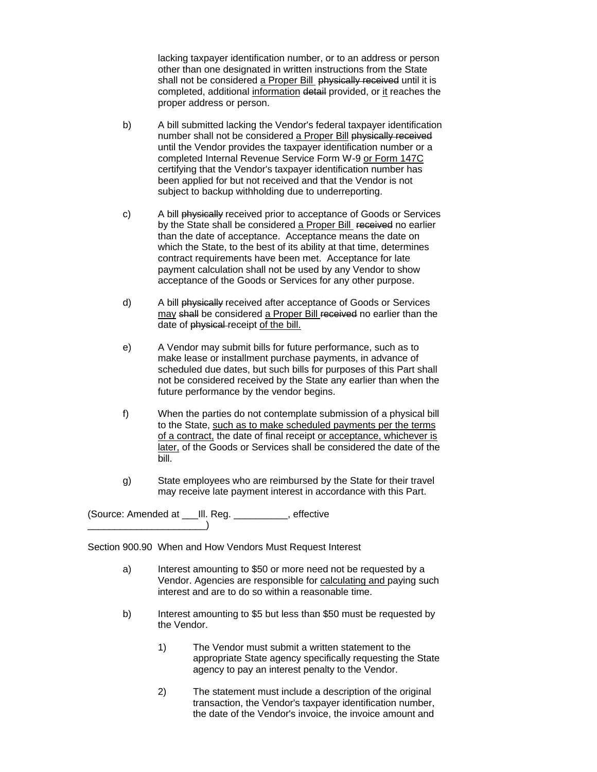lacking taxpayer identification number, or to an address or person other than one designated in written instructions from the State shall not be considered a Proper Bill physically received until it is completed, additional information detail provided, or it reaches the proper address or person.

- b) A bill submitted lacking the Vendor's federal taxpayer identification number shall not be considered a Proper Bill physically received until the Vendor provides the taxpayer identification number or a completed Internal Revenue Service Form W-9 or Form 147C certifying that the Vendor's taxpayer identification number has been applied for but not received and that the Vendor is not subject to backup withholding due to underreporting.
- c) A bill physically received prior to acceptance of Goods or Services by the State shall be considered a Proper Bill received no earlier than the date of acceptance. Acceptance means the date on which the State, to the best of its ability at that time, determines contract requirements have been met. Acceptance for late payment calculation shall not be used by any Vendor to show acceptance of the Goods or Services for any other purpose.
- d) A bill physically received after acceptance of Goods or Services may shall be considered a Proper Bill received no earlier than the date of physical receipt of the bill.
- e) A Vendor may submit bills for future performance, such as to make lease or installment purchase payments, in advance of scheduled due dates, but such bills for purposes of this Part shall not be considered received by the State any earlier than when the future performance by the vendor begins.
- f) When the parties do not contemplate submission of a physical bill to the State, such as to make scheduled payments per the terms of a contract, the date of final receipt or acceptance, whichever is later, of the Goods or Services shall be considered the date of the bill.
- g) State employees who are reimbursed by the State for their travel may receive late payment interest in accordance with this Part.

(Source: Amended at \_\_\_Ill. Reg. \_\_\_\_\_\_\_\_\_\_, effective \_\_\_\_\_\_\_\_\_\_\_\_\_\_\_\_\_\_\_\_\_\_)

Section 900.90 When and How Vendors Must Request Interest

- a) Interest amounting to \$50 or more need not be requested by a Vendor. Agencies are responsible for calculating and paying such interest and are to do so within a reasonable time.
- b) Interest amounting to \$5 but less than \$50 must be requested by the Vendor.
	- 1) The Vendor must submit a written statement to the appropriate State agency specifically requesting the State agency to pay an interest penalty to the Vendor.
	- 2) The statement must include a description of the original transaction, the Vendor's taxpayer identification number, the date of the Vendor's invoice, the invoice amount and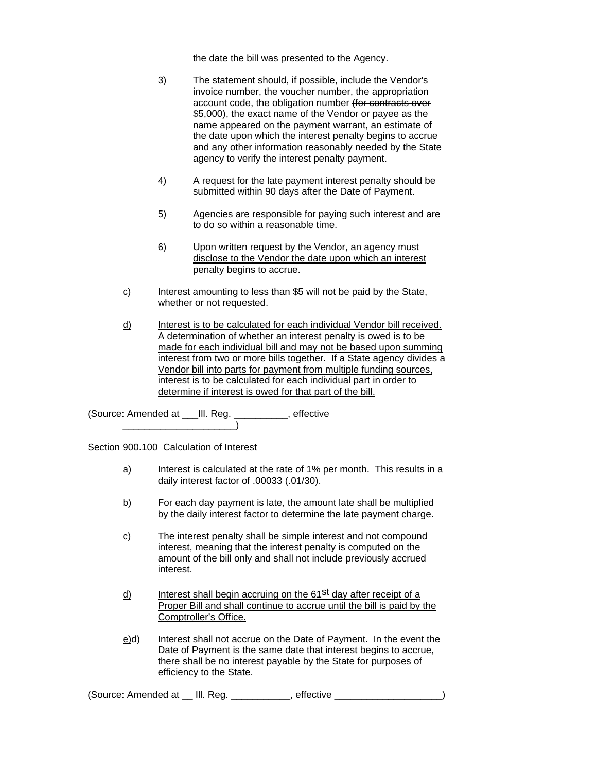the date the bill was presented to the Agency.

- 3) The statement should, if possible, include the Vendor's invoice number, the voucher number, the appropriation account code, the obligation number (for contracts over \$5,000), the exact name of the Vendor or payee as the name appeared on the payment warrant, an estimate of the date upon which the interest penalty begins to accrue and any other information reasonably needed by the State agency to verify the interest penalty payment.
- 4) A request for the late payment interest penalty should be submitted within 90 days after the Date of Payment.
- 5) Agencies are responsible for paying such interest and are to do so within a reasonable time.
- 6) Upon written request by the Vendor, an agency must disclose to the Vendor the date upon which an interest penalty begins to accrue.
- c) Interest amounting to less than \$5 will not be paid by the State, whether or not requested.
- d) Interest is to be calculated for each individual Vendor bill received. A determination of whether an interest penalty is owed is to be made for each individual bill and may not be based upon summing interest from two or more bills together. If a State agency divides a Vendor bill into parts for payment from multiple funding sources, interest is to be calculated for each individual part in order to determine if interest is owed for that part of the bill.

(Source: Amended at \_\_\_Ill. Reg. \_\_\_\_\_\_\_\_\_\_, effective \_\_\_\_\_\_\_\_\_\_\_\_\_\_\_\_\_\_\_\_\_)

Section 900.100 Calculation of Interest

- a) Interest is calculated at the rate of 1% per month. This results in a daily interest factor of .00033 (.01/30).
- b) For each day payment is late, the amount late shall be multiplied by the daily interest factor to determine the late payment charge.
- c) The interest penalty shall be simple interest and not compound interest, meaning that the interest penalty is computed on the amount of the bill only and shall not include previously accrued interest.
- d) Interest shall begin accruing on the  $61<sup>st</sup>$  day after receipt of a Proper Bill and shall continue to accrue until the bill is paid by the Comptroller's Office.
- e)<del>d)</del> Interest shall not accrue on the Date of Payment. In the event the Date of Payment is the same date that interest begins to accrue, there shall be no interest payable by the State for purposes of efficiency to the State.

(Source: Amended at \_\_ Ill. Reg. \_\_\_\_\_\_\_\_\_\_\_, effective \_\_\_\_\_\_\_\_\_\_\_\_\_\_\_\_\_\_\_\_)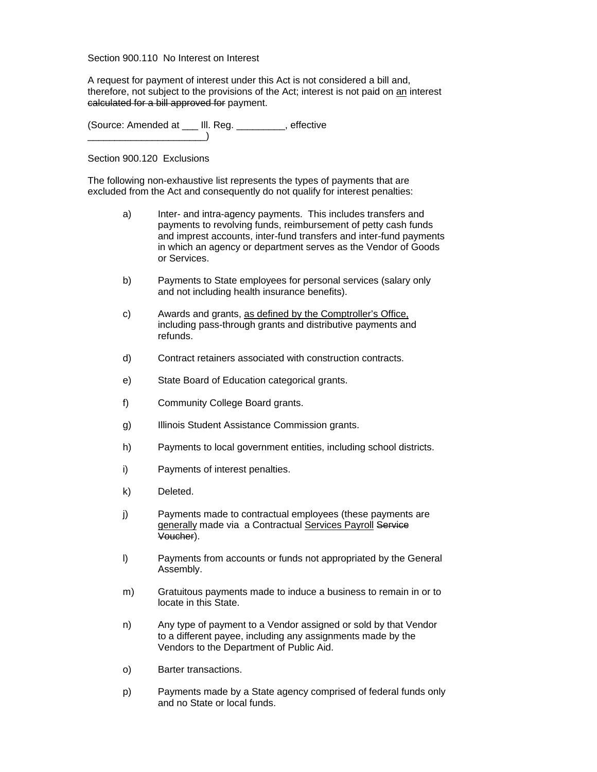#### Section 900.110 No Interest on Interest

A request for payment of interest under this Act is not considered a bill and, therefore, not subject to the provisions of the Act; interest is not paid on an interest calculated for a bill approved for payment.

(Source: Amended at \_\_\_ Ill. Reg. \_\_\_\_\_\_\_\_\_, effective  $\Box$ 

## Section 900.120 Exclusions

The following non-exhaustive list represents the types of payments that are excluded from the Act and consequently do not qualify for interest penalties:

- a) Inter- and intra-agency payments. This includes transfers and payments to revolving funds, reimbursement of petty cash funds and imprest accounts, inter-fund transfers and inter-fund payments in which an agency or department serves as the Vendor of Goods or Services.
- b) Payments to State employees for personal services (salary only and not including health insurance benefits).
- c) Awards and grants, as defined by the Comptroller's Office, including pass-through grants and distributive payments and refunds.
- d) Contract retainers associated with construction contracts.
- e) State Board of Education categorical grants.
- f) Community College Board grants.
- g) Illinois Student Assistance Commission grants.
- h) Payments to local government entities, including school districts.
- i) Payments of interest penalties.
- k) Deleted.
- j) Payments made to contractual employees (these payments are generally made via a Contractual Services Payroll Service Voucher).
- l) Payments from accounts or funds not appropriated by the General Assembly.
- m) Gratuitous payments made to induce a business to remain in or to locate in this State.
- n) Any type of payment to a Vendor assigned or sold by that Vendor to a different payee, including any assignments made by the Vendors to the Department of Public Aid.
- o) Barter transactions.
- p) Payments made by a State agency comprised of federal funds only and no State or local funds.